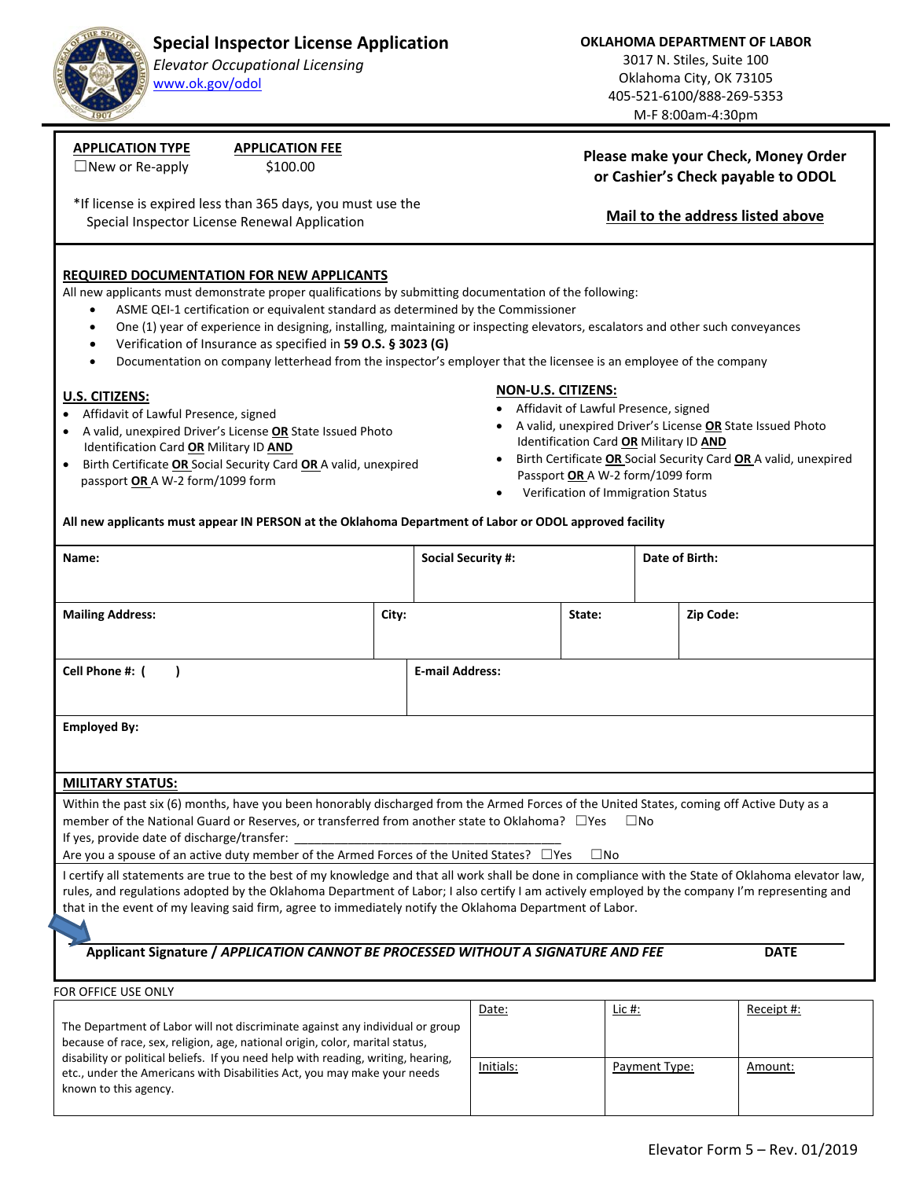# **Special Inspector License Application**

### *Elevator Occupational Licensing* www.ok.gov/odol

**OKLAHOMA DEPARTMENT OF LABOR**

3017 N. Stiles, Suite 100 Oklahoma City, OK 73105 405‐521‐6100/888‐269‐5353 M‐F 8:00am‐4:30pm

**Please make your Check, Money Order or Cashier's Check payable to ODOL** 

**Mail to the address listed above** 

 $\Box$ New or Re-apply  $$100.00$ 

**APPLICATION TYPE APPLICATION FEE** 

\*If license is expired less than 365 days, you must use the Special Inspector License Renewal Application

### **REQUIRED DOCUMENTATION FOR NEW APPLICANTS**

All new applicants must demonstrate proper qualifications by submitting documentation of the following:

- ASME QEI‐1 certification or equivalent standard as determined by the Commissioner
- One (1) year of experience in designing, installing, maintaining or inspecting elevators, escalators and other such conveyances
- Verification of Insurance as specified in **59 O.S. § 3023 (G)**
- Documentation on company letterhead from the inspector's employer that the licensee is an employee of the company

#### **U.S. CITIZENS:**

- Affidavit of Lawful Presence, signed
- A valid, unexpired Driver's License **OR** State Issued Photo Identification Card **OR** Military ID **AND**
- Birth Certificate **OR** Social Security Card **OR** A valid, unexpired passport **OR** A W‐2 form/1099 form

### **NON‐U.S. CITIZENS:**

- Affidavit of Lawful Presence, signed
- A valid, unexpired Driver's License **OR** State Issued Photo Identification Card **OR** Military ID **AND**
- Birth Certificate **OR** Social Security Card **OR** A valid, unexpired Passport **OR** A W‐2 form/1099 form
- Verification of Immigration Status

**All new applicants must appear IN PERSON at the Oklahoma Department of Labor or ODOL approved facility**

| Name:                                                                                                                                                                                                                                                                                                                                                                                                             |       | <b>Social Security #:</b> |             |  | Date of Birth: |  |  |
|-------------------------------------------------------------------------------------------------------------------------------------------------------------------------------------------------------------------------------------------------------------------------------------------------------------------------------------------------------------------------------------------------------------------|-------|---------------------------|-------------|--|----------------|--|--|
|                                                                                                                                                                                                                                                                                                                                                                                                                   |       |                           |             |  |                |  |  |
| <b>Mailing Address:</b>                                                                                                                                                                                                                                                                                                                                                                                           | City: |                           | State:      |  | Zip Code:      |  |  |
|                                                                                                                                                                                                                                                                                                                                                                                                                   |       |                           |             |  |                |  |  |
| Cell Phone #: (                                                                                                                                                                                                                                                                                                                                                                                                   |       | <b>E-mail Address:</b>    |             |  |                |  |  |
|                                                                                                                                                                                                                                                                                                                                                                                                                   |       |                           |             |  |                |  |  |
| <b>Employed By:</b>                                                                                                                                                                                                                                                                                                                                                                                               |       |                           |             |  |                |  |  |
|                                                                                                                                                                                                                                                                                                                                                                                                                   |       |                           |             |  |                |  |  |
| <b>MILITARY STATUS:</b>                                                                                                                                                                                                                                                                                                                                                                                           |       |                           |             |  |                |  |  |
| Within the past six (6) months, have you been honorably discharged from the Armed Forces of the United States, coming off Active Duty as a                                                                                                                                                                                                                                                                        |       |                           |             |  |                |  |  |
| member of the National Guard or Reserves, or transferred from another state to Oklahoma? $\Box$ Yes<br>$\square$ No<br>If yes, provide date of discharge/transfer: _____________                                                                                                                                                                                                                                  |       |                           |             |  |                |  |  |
| Are you a spouse of an active duty member of the Armed Forces of the United States? □ Yes<br>$\square$ No                                                                                                                                                                                                                                                                                                         |       |                           |             |  |                |  |  |
| I certify all statements are true to the best of my knowledge and that all work shall be done in compliance with the State of Oklahoma elevator law,<br>rules, and regulations adopted by the Oklahoma Department of Labor; I also certify I am actively employed by the company I'm representing and<br>that in the event of my leaving said firm, agree to immediately notify the Oklahoma Department of Labor. |       |                           |             |  |                |  |  |
| Applicant Signature / APPLICATION CANNOT BE PROCESSED WITHOUT A SIGNATURE AND FEE<br><b>DATE</b>                                                                                                                                                                                                                                                                                                                  |       |                           |             |  |                |  |  |
|                                                                                                                                                                                                                                                                                                                                                                                                                   |       |                           |             |  |                |  |  |
| FOR OFFICE USE ONLY                                                                                                                                                                                                                                                                                                                                                                                               |       |                           |             |  |                |  |  |
|                                                                                                                                                                                                                                                                                                                                                                                                                   |       | $D = L =$                 | $1.3 - 11.$ |  | $D = 22$       |  |  |

|                                                                                                                                                                                                                                                                                                                                                         | Date:     | Lic #:        | Receipt #: |
|---------------------------------------------------------------------------------------------------------------------------------------------------------------------------------------------------------------------------------------------------------------------------------------------------------------------------------------------------------|-----------|---------------|------------|
| The Department of Labor will not discriminate against any individual or group<br>because of race, sex, religion, age, national origin, color, marital status,<br>disability or political beliefs. If you need help with reading, writing, hearing,<br>etc., under the Americans with Disabilities Act, you may make your needs<br>known to this agency. |           |               |            |
|                                                                                                                                                                                                                                                                                                                                                         | Initials: | Payment Type: | Amount:    |